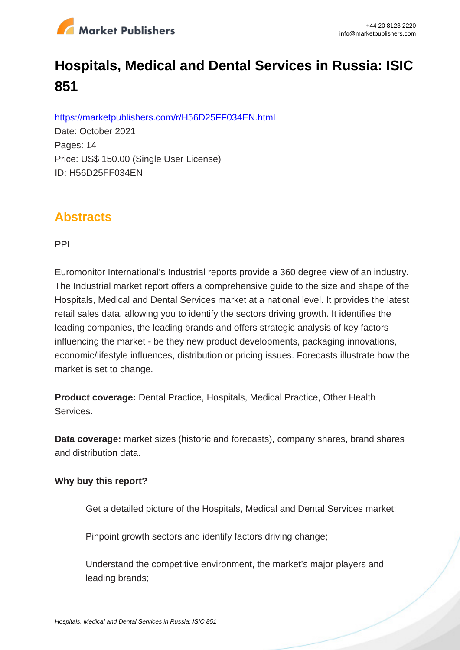

# **Hospitals, Medical and Dental Services in Russia: ISIC 851**

https://marketpublishers.com/r/H56D25FF034EN.html

Date: October 2021 Pages: 14 Price: US\$ 150.00 (Single User License) ID: H56D25FF034EN

## **Abstracts**

PPI

Euromonitor International's Industrial reports provide a 360 degree view of an industry. The Industrial market report offers a comprehensive guide to the size and shape of the Hospitals, Medical and Dental Services market at a national level. It provides the latest retail sales data, allowing you to identify the sectors driving growth. It identifies the leading companies, the leading brands and offers strategic analysis of key factors influencing the market - be they new product developments, packaging innovations, economic/lifestyle influences, distribution or pricing issues. Forecasts illustrate how the market is set to change.

**Product coverage:** Dental Practice, Hospitals, Medical Practice, Other Health Services.

**Data coverage:** market sizes (historic and forecasts), company shares, brand shares and distribution data.

#### **Why buy this report?**

Get a detailed picture of the Hospitals, Medical and Dental Services market;

Pinpoint growth sectors and identify factors driving change:

Understand the competitive environment, the market's major players and leading brands;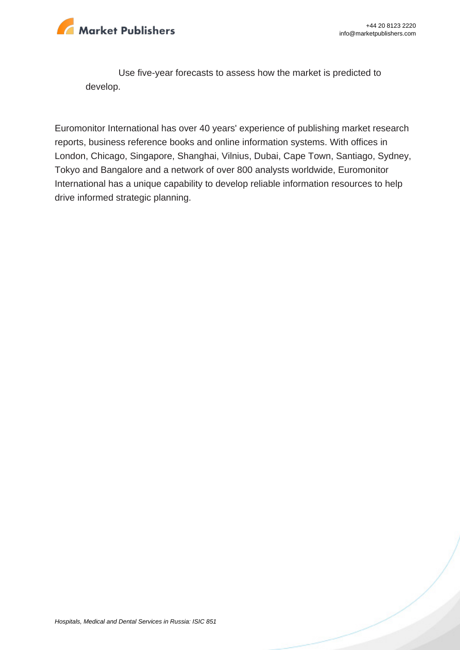

Use five-year forecasts to assess how the market is predicted to develop.

Euromonitor International has over 40 years' experience of publishing market research reports, business reference books and online information systems. With offices in London, Chicago, Singapore, Shanghai, Vilnius, Dubai, Cape Town, Santiago, Sydney, Tokyo and Bangalore and a network of over 800 analysts worldwide, Euromonitor International has a unique capability to develop reliable information resources to help drive informed strategic planning.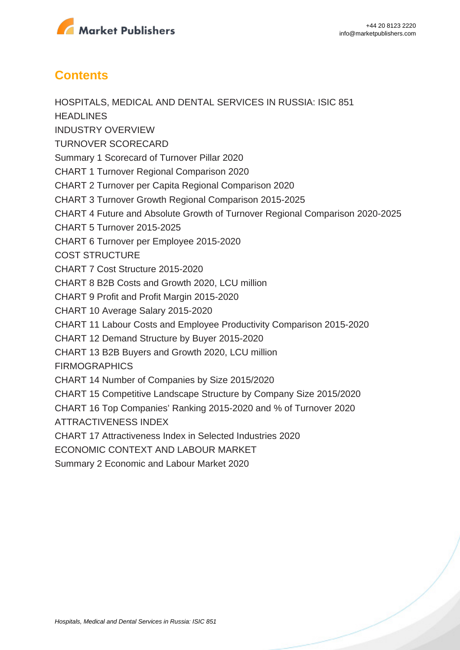

## **Contents**

HOSPITALS, MEDICAL AND DENTAL SERVICES IN RUSSIA: ISIC 851 **HEADLINES** INDUSTRY OVERVIEW TURNOVER SCORECARD Summary 1 Scorecard of Turnover Pillar 2020 CHART 1 Turnover Regional Comparison 2020 CHART 2 Turnover per Capita Regional Comparison 2020 CHART 3 Turnover Growth Regional Comparison 2015-2025 CHART 4 Future and Absolute Growth of Turnover Regional Comparison 2020-2025 CHART 5 Turnover 2015-2025 CHART 6 Turnover per Employee 2015-2020 COST STRUCTURE CHART 7 Cost Structure 2015-2020 CHART 8 B2B Costs and Growth 2020, LCU million CHART 9 Profit and Profit Margin 2015-2020 CHART 10 Average Salary 2015-2020 CHART 11 Labour Costs and Employee Productivity Comparison 2015-2020 CHART 12 Demand Structure by Buyer 2015-2020 CHART 13 B2B Buyers and Growth 2020, LCU million **FIRMOGRAPHICS** CHART 14 Number of Companies by Size 2015/2020 CHART 15 Competitive Landscape Structure by Company Size 2015/2020 CHART 16 Top Companies' Ranking 2015-2020 and % of Turnover 2020 ATTRACTIVENESS INDEX CHART 17 Attractiveness Index in Selected Industries 2020 ECONOMIC CONTEXT AND LABOUR MARKET Summary 2 Economic and Labour Market 2020